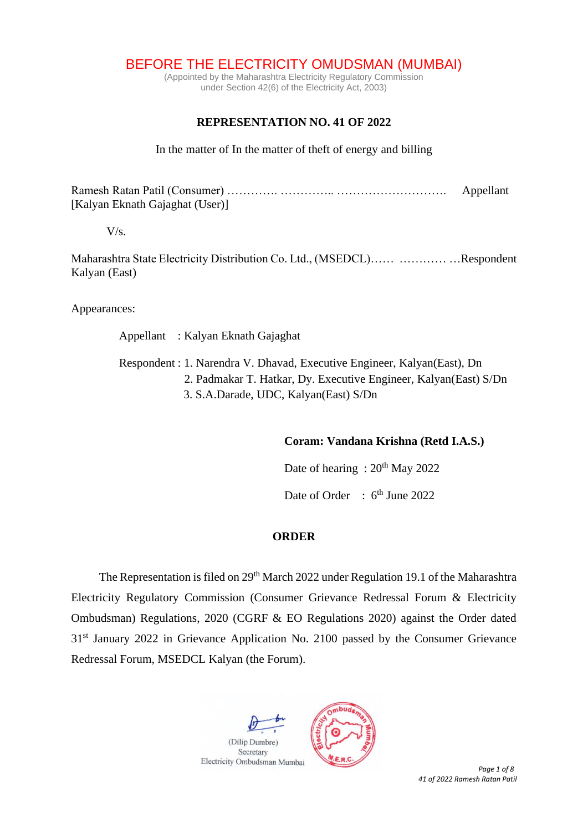BEFORE THE ELECTRICITY OMUDSMAN (MUMBAI)

(Appointed by the Maharashtra Electricity Regulatory Commission under Section 42(6) of the Electricity Act, 2003)

## **REPRESENTATION NO. 41 OF 2022**

In the matter of In the matter of theft of energy and billing

Ramesh Ratan Patil (Consumer) …………. ………….. ………………………. Appellant [Kalyan Eknath Gajaghat (User)]

 $V/s.$ 

Maharashtra State Electricity Distribution Co. Ltd., (MSEDCL)…… ………… …Respondent Kalyan (East)

Appearances:

Appellant : Kalyan Eknath Gajaghat

 Respondent : 1. Narendra V. Dhavad, Executive Engineer, Kalyan(East), Dn 2. Padmakar T. Hatkar, Dy. Executive Engineer, Kalyan(East) S/Dn 3. S.A.Darade, UDC, Kalyan(East) S/Dn

**Coram: Vandana Krishna (Retd I.A.S.)**

Date of hearing :  $20^{th}$  May 2022

Date of Order : 6<sup>th</sup> June 2022

## **ORDER**

The Representation is filed on  $29<sup>th</sup>$  March 2022 under Regulation 19.1 of the Maharashtra Electricity Regulatory Commission (Consumer Grievance Redressal Forum & Electricity Ombudsman) Regulations, 2020 (CGRF & EO Regulations 2020) against the Order dated 31st January 2022 in Grievance Application No. 2100 passed by the Consumer Grievance Redressal Forum, MSEDCL Kalyan (the Forum).



*41 of 2022 Ramesh Ratan Patil*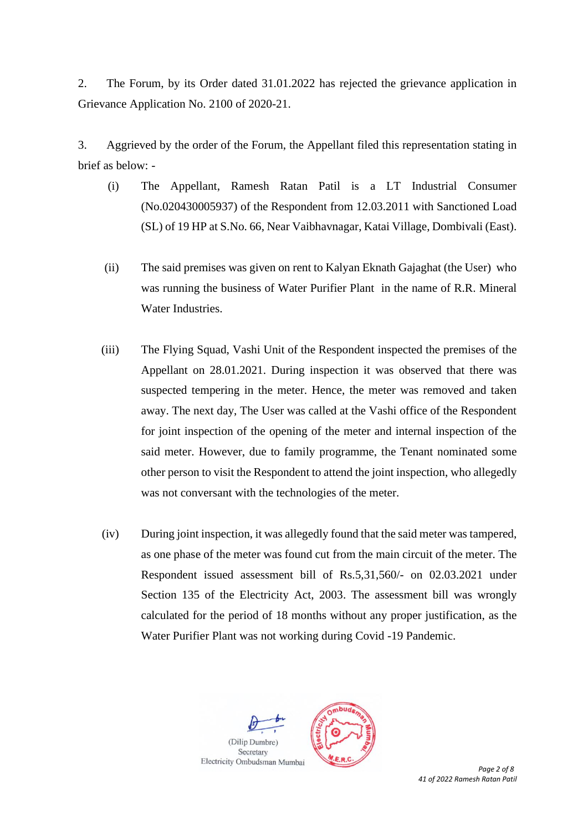2. The Forum, by its Order dated 31.01.2022 has rejected the grievance application in Grievance Application No. 2100 of 2020-21.

3. Aggrieved by the order of the Forum, the Appellant filed this representation stating in brief as below: -

- (i) The Appellant, Ramesh Ratan Patil is a LT Industrial Consumer (No.020430005937) of the Respondent from 12.03.2011 with Sanctioned Load (SL) of 19 HP at S.No. 66, Near Vaibhavnagar, Katai Village, Dombivali (East).
- (ii) The said premises was given on rent to Kalyan Eknath Gajaghat (the User) who was running the business of Water Purifier Plant in the name of R.R. Mineral Water Industries.
- (iii) The Flying Squad, Vashi Unit of the Respondent inspected the premises of the Appellant on 28.01.2021. During inspection it was observed that there was suspected tempering in the meter. Hence, the meter was removed and taken away. The next day, The User was called at the Vashi office of the Respondent for joint inspection of the opening of the meter and internal inspection of the said meter. However, due to family programme, the Tenant nominated some other person to visit the Respondent to attend the joint inspection, who allegedly was not conversant with the technologies of the meter.
- (iv) During joint inspection, it was allegedly found that the said meter was tampered, as one phase of the meter was found cut from the main circuit of the meter. The Respondent issued assessment bill of Rs.5,31,560/- on 02.03.2021 under Section 135 of the Electricity Act, 2003. The assessment bill was wrongly calculated for the period of 18 months without any proper justification, as the Water Purifier Plant was not working during Covid -19 Pandemic.

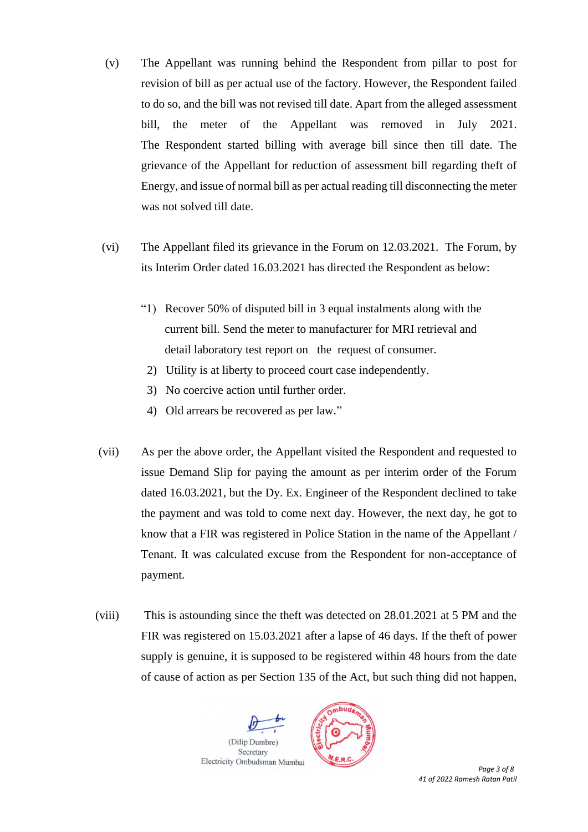- (v) The Appellant was running behind the Respondent from pillar to post for revision of bill as per actual use of the factory. However, the Respondent failed to do so, and the bill was not revised till date. Apart from the alleged assessment bill, the meter of the Appellant was removed in July 2021. The Respondent started billing with average bill since then till date. The grievance of the Appellant for reduction of assessment bill regarding theft of Energy, and issue of normal bill as per actual reading till disconnecting the meter was not solved till date.
- (vi) The Appellant filed its grievance in the Forum on 12.03.2021. The Forum, by its Interim Order dated 16.03.2021 has directed the Respondent as below:
	- "1) Recover 50% of disputed bill in 3 equal instalments along with the current bill. Send the meter to manufacturer for MRI retrieval and detail laboratory test report on the request of consumer.
		- 2) Utility is at liberty to proceed court case independently.
		- 3) No coercive action until further order.
		- 4) Old arrears be recovered as per law."
- (vii) As per the above order, the Appellant visited the Respondent and requested to issue Demand Slip for paying the amount as per interim order of the Forum dated 16.03.2021, but the Dy. Ex. Engineer of the Respondent declined to take the payment and was told to come next day. However, the next day, he got to know that a FIR was registered in Police Station in the name of the Appellant / Tenant. It was calculated excuse from the Respondent for non-acceptance of payment.
- (viii) This is astounding since the theft was detected on 28.01.2021 at 5 PM and the FIR was registered on 15.03.2021 after a lapse of 46 days. If the theft of power supply is genuine, it is supposed to be registered within 48 hours from the date of cause of action as per Section 135 of the Act, but such thing did not happen,

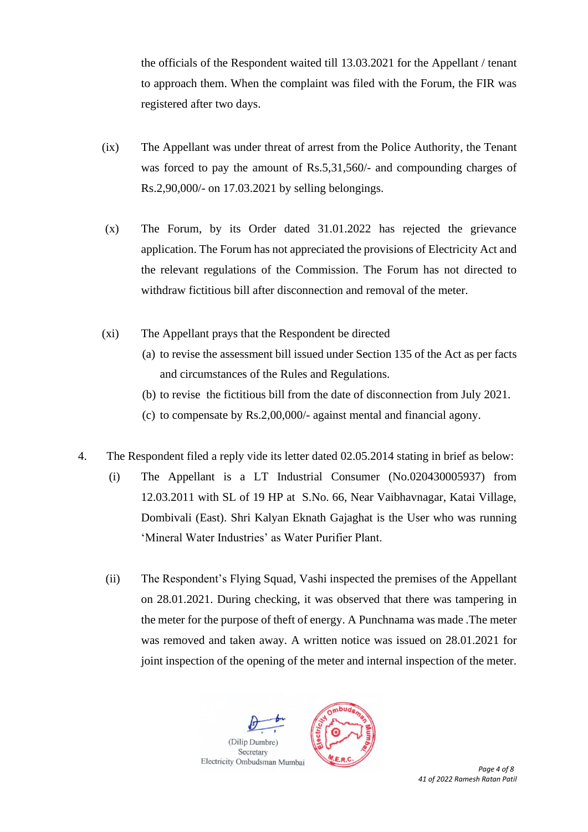the officials of the Respondent waited till 13.03.2021 for the Appellant / tenant to approach them. When the complaint was filed with the Forum, the FIR was registered after two days.

- (ix) The Appellant was under threat of arrest from the Police Authority, the Tenant was forced to pay the amount of Rs.5,31,560/- and compounding charges of Rs.2,90,000/- on 17.03.2021 by selling belongings.
- (x) The Forum, by its Order dated 31.01.2022 has rejected the grievance application. The Forum has not appreciated the provisions of Electricity Act and the relevant regulations of the Commission. The Forum has not directed to withdraw fictitious bill after disconnection and removal of the meter.
- (xi) The Appellant prays that the Respondent be directed
	- (a) to revise the assessment bill issued under Section 135 of the Act as per facts and circumstances of the Rules and Regulations.
	- (b) to revise the fictitious bill from the date of disconnection from July 2021.
	- (c) to compensate by Rs.2,00,000/- against mental and financial agony.
- 4. The Respondent filed a reply vide its letter dated 02.05.2014 stating in brief as below:
	- (i) The Appellant is a LT Industrial Consumer (No.020430005937) from 12.03.2011 with SL of 19 HP at S.No. 66, Near Vaibhavnagar, Katai Village, Dombivali (East). Shri Kalyan Eknath Gajaghat is the User who was running 'Mineral Water Industries' as Water Purifier Plant.
	- (ii) The Respondent's Flying Squad, Vashi inspected the premises of the Appellant on 28.01.2021. During checking, it was observed that there was tampering in the meter for the purpose of theft of energy. A Punchnama was made .The meter was removed and taken away. A written notice was issued on 28.01.2021 for joint inspection of the opening of the meter and internal inspection of the meter.

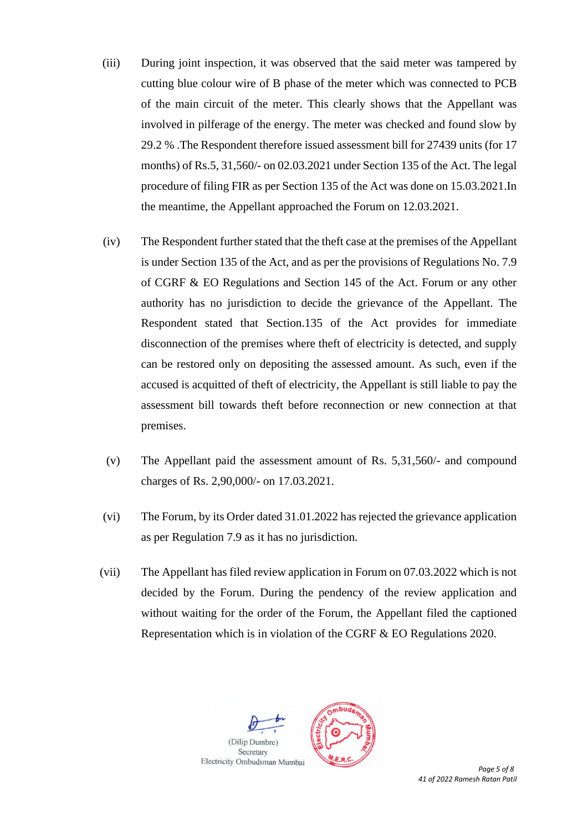- (iii) During joint inspection, it was observed that the said meter was tampered by cutting blue colour wire of B phase of the meter which was connected to PCB of the main circuit of the meter. This clearly shows that the Appellant was involved in pilferage of the energy. The meter was checked and found slow by 29.2 % .The Respondent therefore issued assessment bill for 27439 units (for 17 months) of Rs.5, 31,560/- on 02.03.2021 under Section 135 of the Act. The legal procedure of filing FIR as per Section 135 of the Act was done on 15.03.2021.In the meantime, the Appellant approached the Forum on 12.03.2021.
- (iv) The Respondent further stated that the theft case at the premises of the Appellant is under Section 135 of the Act, and as per the provisions of Regulations No. 7.9 of CGRF & EO Regulations and Section 145 of the Act. Forum or any other authority has no jurisdiction to decide the grievance of the Appellant. The Respondent stated that Section.135 of the Act provides for immediate disconnection of the premises where theft of electricity is detected, and supply can be restored only on depositing the assessed amount. As such, even if the accused is acquitted of theft of electricity, the Appellant is still liable to pay the assessment bill towards theft before reconnection or new connection at that premises.
- (v) The Appellant paid the assessment amount of Rs. 5,31,560/- and compound charges of Rs. 2,90,000/- on 17.03.2021.
- (vi) The Forum, by its Order dated 31.01.2022 has rejected the grievance application as per Regulation 7.9 as it has no jurisdiction.
- (vii) The Appellant has filed review application in Forum on 07.03.2022 which is not decided by the Forum. During the pendency of the review application and without waiting for the order of the Forum, the Appellant filed the captioned Representation which is in violation of the CGRF & EO Regulations 2020.

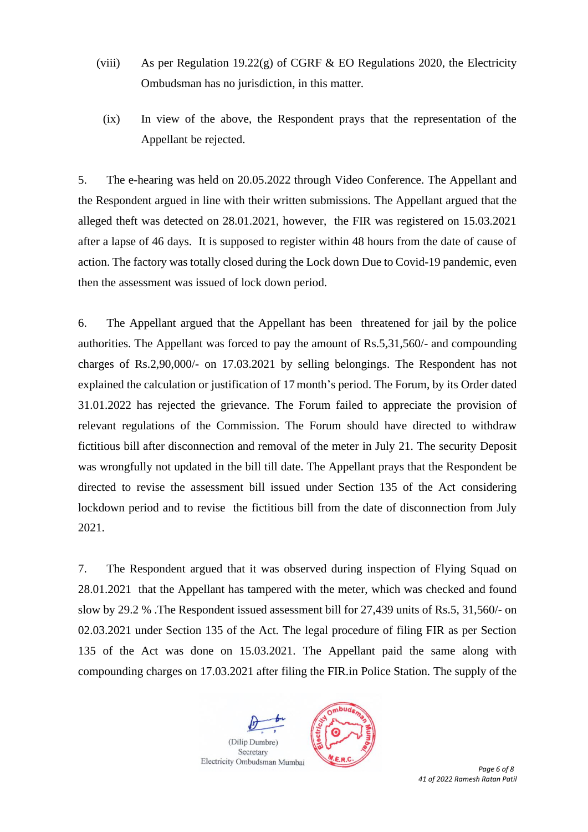- (viii) As per Regulation 19.22(g) of CGRF  $&$  EO Regulations 2020, the Electricity Ombudsman has no jurisdiction, in this matter.
	- (ix) In view of the above, the Respondent prays that the representation of the Appellant be rejected.

5. The e-hearing was held on 20.05.2022 through Video Conference. The Appellant and the Respondent argued in line with their written submissions. The Appellant argued that the alleged theft was detected on 28.01.2021, however, the FIR was registered on 15.03.2021 after a lapse of 46 days. It is supposed to register within 48 hours from the date of cause of action. The factory was totally closed during the Lock down Due to Covid-19 pandemic, even then the assessment was issued of lock down period.

6. The Appellant argued that the Appellant has been threatened for jail by the police authorities. The Appellant was forced to pay the amount of Rs.5,31,560/- and compounding charges of Rs.2,90,000/- on 17.03.2021 by selling belongings. The Respondent has not explained the calculation or justification of 17month's period. The Forum, by its Order dated 31.01.2022 has rejected the grievance. The Forum failed to appreciate the provision of relevant regulations of the Commission. The Forum should have directed to withdraw fictitious bill after disconnection and removal of the meter in July 21. The security Deposit was wrongfully not updated in the bill till date. The Appellant prays that the Respondent be directed to revise the assessment bill issued under Section 135 of the Act considering lockdown period and to revise the fictitious bill from the date of disconnection from July 2021.

7. The Respondent argued that it was observed during inspection of Flying Squad on 28.01.2021 that the Appellant has tampered with the meter, which was checked and found slow by 29.2 % .The Respondent issued assessment bill for 27,439 units of Rs.5, 31,560/- on 02.03.2021 under Section 135 of the Act. The legal procedure of filing FIR as per Section 135 of the Act was done on 15.03.2021. The Appellant paid the same along with compounding charges on 17.03.2021 after filing the FIR.in Police Station. The supply of the

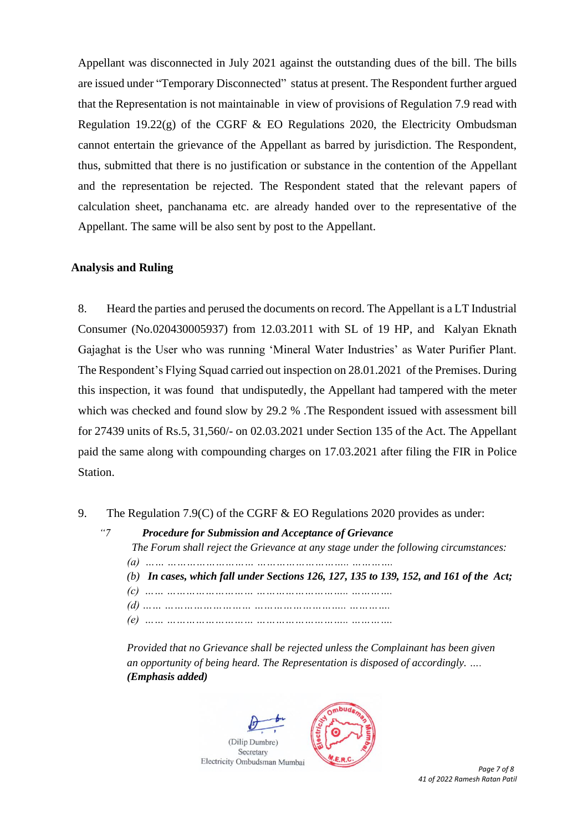Appellant was disconnected in July 2021 against the outstanding dues of the bill. The bills are issued under "Temporary Disconnected" status at present. The Respondent further argued that the Representation is not maintainable in view of provisions of Regulation 7.9 read with Regulation 19.22 $(g)$  of the CGRF & EO Regulations 2020, the Electricity Ombudsman cannot entertain the grievance of the Appellant as barred by jurisdiction. The Respondent, thus, submitted that there is no justification or substance in the contention of the Appellant and the representation be rejected. The Respondent stated that the relevant papers of calculation sheet, panchanama etc. are already handed over to the representative of the Appellant. The same will be also sent by post to the Appellant.

## **Analysis and Ruling**

8. Heard the parties and perused the documents on record. The Appellant is a LT Industrial Consumer (No.020430005937) from 12.03.2011 with SL of 19 HP, and Kalyan Eknath Gajaghat is the User who was running 'Mineral Water Industries' as Water Purifier Plant. The Respondent's Flying Squad carried out inspection on 28.01.2021 of the Premises. During this inspection, it was found that undisputedly, the Appellant had tampered with the meter which was checked and found slow by 29.2 %. The Respondent issued with assessment bill for 27439 units of Rs.5, 31,560/- on 02.03.2021 under Section 135 of the Act. The Appellant paid the same along with compounding charges on 17.03.2021 after filing the FIR in Police Station.

- 9. The Regulation 7.9(C) of the CGRF & EO Regulations 2020 provides as under:
	- *"7 Procedure for Submission and Acceptance of Grievance The Forum shall reject the Grievance at any stage under the following circumstances: (a) …… ……………………… ……………………….. …………. (b) In cases, which fall under Sections 126, 127, 135 to 139, 152, and 161 of the Act; (c) …… ……………………… ……………………….. …………. (d) …… ……………………… ……………………….. …………. (e) …… ……………………… ……………………….. ………….*

*Provided that no Grievance shall be rejected unless the Complainant has been given an opportunity of being heard. The Representation is disposed of accordingly. …. (Emphasis added)*